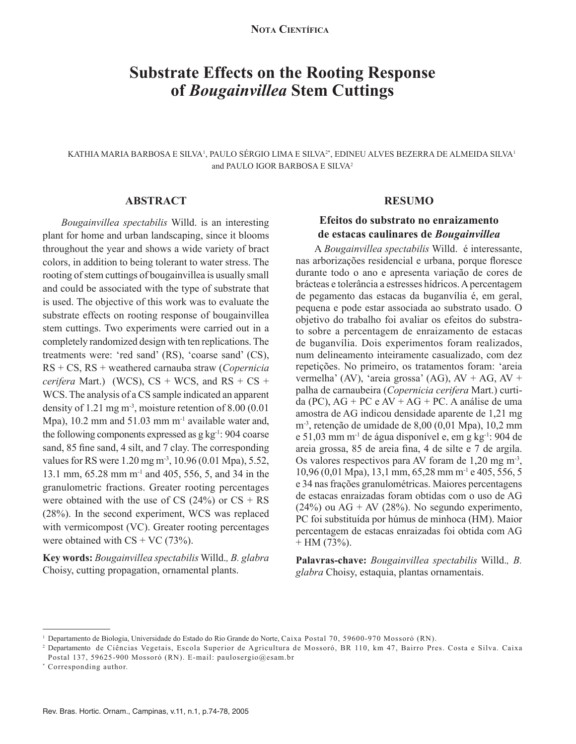#### $197A$  CIENTIFICA **NOTA CIENTÍFICA**

# **Substrate Effects on the Rooting Response of** *Bougainvillea* **Stem Cuttings**

KATHIA MARIA BARBOSA E SILVA', PAULO SÉRGIO LIMA E SILVA<sup>2</sup>°, EDINEU ALVES BEZERRA DE ALMEIDA SILVA' and PAULO IGOR BARBOSA E SILVA2

#### **ABSTRACT**

*Bougainvillea spectabilis* Willd. is an interesting plant for home and urban landscaping, since it blooms throughout the year and shows a wide variety of bract colors, in addition to being tolerant to water stress. The rooting of stem cuttings of bougainvillea is usually small and could be associated with the type of substrate that is used. The objective of this work was to evaluate the substrate effects on rooting response of bougainvillea stem cuttings. Two experiments were carried out in a completely randomized design with ten replications. The treatments were: 'red sand' (RS), 'coarse sand' (CS), RS + CS, RS + weathered carnauba straw (*Copernicia cerifera* Mart.) (WCS),  $CS + WCS$ , and  $RS + CS +$ WCS. The analysis of a CS sample indicated an apparent density of 1.21 mg  $m<sup>3</sup>$ , moisture retention of 8.00 (0.01) Mpa), 10.2 mm and 51.03 mm m<sup>-1</sup> available water and, the following components expressed as g kg-1: 904 coarse sand, 85 fine sand, 4 silt, and 7 clay. The corresponding values for RS were 1.20 mg m-3, 10.96 (0.01 Mpa), 5.52, 13.1 mm, 65.28 mm m-1 and 405, 556, 5, and 34 in the granulometric fractions. Greater rooting percentages were obtained with the use of CS  $(24%)$  or CS + RS (28%). In the second experiment, WCS was replaced with vermicompost (VC). Greater rooting percentages were obtained with  $CS + VC$  (73%).

**Key words:** *Bougainvillea spectabilis* Willd.*, B. glabra* Choisy, cutting propagation, ornamental plants.

#### **RESUMO**

## **Efeitos do substrato no enraizamento de estacas caulinares de** *Bougainvillea*

A *Bougainvillea spectabilis* Willd. é interessante, nas arborizações residencial e urbana, porque floresce durante todo o ano e apresenta variação de cores de brácteas e tolerância a estresses hídricos. A percentagem de pegamento das estacas da buganvília é, em geral, pequena e pode estar associada ao substrato usado. O objetivo do trabalho foi avaliar os efeitos do substrato sobre a percentagem de enraizamento de estacas de buganvília. Dois experimentos foram realizados, num delineamento inteiramente casualizado, com dez repetições. No primeiro, os tratamentos foram: 'areia vermelha' (AV), 'areia grossa' (AG), AV + AG, AV + palha de carnaubeira (*Copernicia cerifera* Mart.) curtida (PC), AG + PC e AV + AG + PC. A análise de uma amostra de AG indicou densidade aparente de 1,21 mg m-3, retenção de umidade de 8,00 (0,01 Mpa), 10,2 mm e 51,03 mm m-1 de água disponível e, em g kg-1: 904 de areia grossa, 85 de areia fina, 4 de silte e 7 de argila. Os valores respectivos para AV foram de 1,20 mg m<sup>-3</sup>, 10,96 (0,01 Mpa), 13,1 mm, 65,28 mm m-1 e 405, 556, 5 e 34 nas frações granulométricas. Maiores percentagens de estacas enraizadas foram obtidas com o uso de AG  $(24%)$  ou AG + AV  $(28%)$ . No segundo experimento, PC foi substituída por húmus de minhoca (HM). Maior percentagem de estacas enraizadas foi obtida com AG  $+$  HM (73%).

**Palavras-chave:** *Bougainvillea spectabilis* Willd.*, B. glabra* Choisy, estaquia, plantas ornamentais.

<sup>1</sup> Departamento de Biologia, Universidade do Estado do Rio Grande do Norte, Caixa Postal 70, 59600-970 Mossoró (RN).

<sup>2</sup> Departamento de Ciências Vegetais, Escola Superior de Agricultura de Mossoró, BR 110, km 47, Bairro Pres. Costa e Silva. Caixa Postal 137, 59625-900 Mossoró (RN). E-mail: paulosergio@esam.br

<sup>\*</sup> Corresponding author.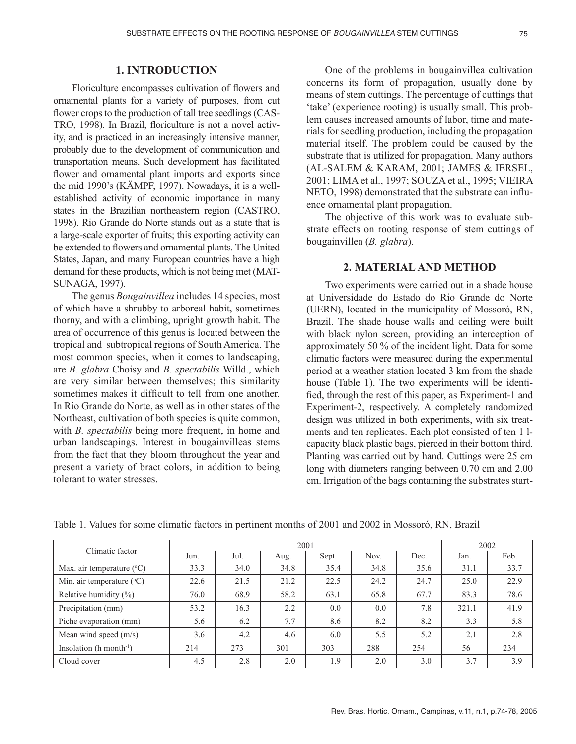#### **1. INTRODUCTION**

Floriculture encompasses cultivation of flowers and ornamental plants for a variety of purposes, from cut flower crops to the production of tall tree seedlings (CAS-TRO, 1998). In Brazil, floriculture is not a novel activity, and is practiced in an increasingly intensive manner, probably due to the development of communication and transportation means. Such development has facilitated flower and ornamental plant imports and exports since the mid 1990's (KÄMPF, 1997). Nowadays, it is a wellestablished activity of economic importance in many states in the Brazilian northeastern region (CASTRO, 1998). Rio Grande do Norte stands out as a state that is a large-scale exporter of fruits; this exporting activity can be extended to flowers and ornamental plants. The United States, Japan, and many European countries have a high demand for these products, which is not being met (MAT-SUNAGA, 1997).

The genus *Bougainvillea* includes 14 species, most of which have a shrubby to arboreal habit, sometimes thorny, and with a climbing, upright growth habit. The area of occurrence of this genus is located between the tropical and subtropical regions of South America. The most common species, when it comes to landscaping, are *B. glabra* Choisy and *B. spectabilis* Willd., which are very similar between themselves; this similarity sometimes makes it difficult to tell from one another. In Rio Grande do Norte, as well as in other states of the Northeast, cultivation of both species is quite common, with *B. spectabilis* being more frequent, in home and urban landscapings. Interest in bougainvilleas stems from the fact that they bloom throughout the year and present a variety of bract colors, in addition to being tolerant to water stresses.

One of the problems in bougainvillea cultivation concerns its form of propagation, usually done by means of stem cuttings. The percentage of cuttings that 'take' (experience rooting) is usually small. This problem causes increased amounts of labor, time and materials for seedling production, including the propagation material itself. The problem could be caused by the substrate that is utilized for propagation. Many authors (AL-SALEM & KARAM, 2001; JAMES & IERSEL, 2001; LIMA et al., 1997; SOUZA et al., 1995; VIEIRA NETO, 1998) demonstrated that the substrate can influence ornamental plant propagation.

The objective of this work was to evaluate substrate effects on rooting response of stem cuttings of bougainvillea (*B. glabra*).

#### **2. MATERIAL AND METHOD**

Two experiments were carried out in a shade house at Universidade do Estado do Rio Grande do Norte (UERN), located in the municipality of Mossoró, RN, Brazil. The shade house walls and ceiling were built with black nylon screen, providing an interception of approximately 50 % of the incident light. Data for some climatic factors were measured during the experimental period at a weather station located 3 km from the shade house (Table 1). The two experiments will be identified, through the rest of this paper, as Experiment-1 and Experiment-2, respectively. A completely randomized design was utilized in both experiments, with six treatments and ten replicates. Each plot consisted of ten 1 lcapacity black plastic bags, pierced in their bottom third. Planting was carried out by hand. Cuttings were 25 cm long with diameters ranging between 0.70 cm and 2.00 cm. Irrigation of the bags containing the substrates start-

| Climatic factor                        |      | 2002 |      |       |      |      |       |      |
|----------------------------------------|------|------|------|-------|------|------|-------|------|
|                                        | Jun. | Jul. | Aug. | Sept. | Nov. | Dec. | Jan.  | Feb. |
| Max. air temperature $({}^{\circ}C)$   | 33.3 | 34.0 | 34.8 | 35.4  | 34.8 | 35.6 | 31.1  | 33.7 |
| Min. air temperature $({}^{\circ}C)$   | 22.6 | 21.5 | 21.2 | 22.5  | 24.2 | 24.7 | 25.0  | 22.9 |
| Relative humidity $(\%)$               | 76.0 | 68.9 | 58.2 | 63.1  | 65.8 | 67.7 | 83.3  | 78.6 |
| Precipitation (mm)                     | 53.2 | 16.3 | 2.2  | 0.0   | 0.0  | 7.8  | 321.1 | 41.9 |
| Piche evaporation (mm)                 | 5.6  | 6.2  | 7.7  | 8.6   | 8.2  | 8.2  | 3.3   | 5.8  |
| Mean wind speed (m/s)                  | 3.6  | 4.2  | 4.6  | 6.0   | 5.5  | 5.2  | 2.1   | 2.8  |
| Insolation ( $h$ month <sup>-1</sup> ) | 214  | 273  | 301  | 303   | 288  | 254  | 56    | 234  |
| Cloud cover                            | 4.5  | 2.8  | 2.0  | 1.9   | 2.0  | 3.0  | 3.7   | 3.9  |

Table 1. Values for some climatic factors in pertinent months of 2001 and 2002 in Mossoró, RN, Brazil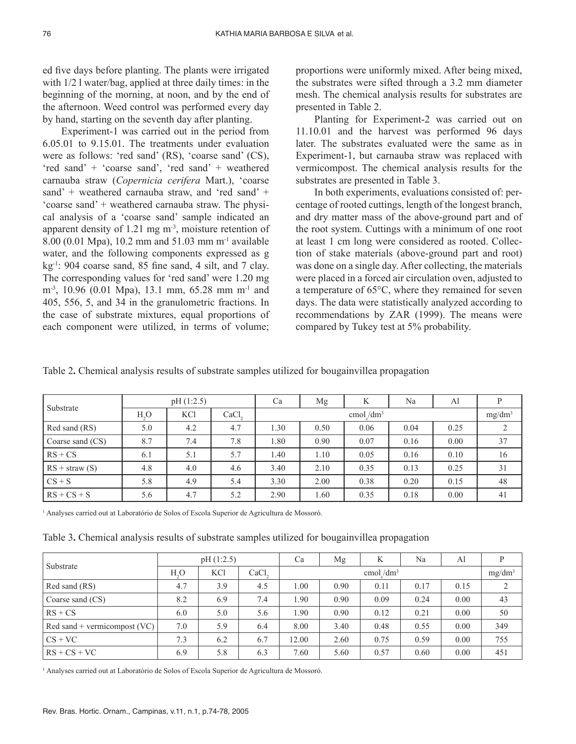ed five days before planting. The plants were irrigated with 1/2 l water/bag, applied at three daily times: in the beginning of the morning, at noon, and by the end of the afternoon. Weed control was performed every day by hand, starting on the seventh day after planting.

Experiment-1 was carried out in the period from 6.05.01 to 9.15.01. The treatments under evaluation were as follows: 'red sand' (RS), 'coarse sand' (CS), 'red sand' + 'coarse sand', 'red sand' + weathered carnauba straw (*Copernicia cerifera* Mart.), 'coarse sand' + weathered carnauba straw, and 'red sand' + 'coarse sand' + weathered carnauba straw. The physical analysis of a 'coarse sand' sample indicated an apparent density of 1.21 mg  $m<sup>3</sup>$ , moisture retention of 8.00 (0.01 Mpa), 10.2 mm and 51.03 mm m-1 available water, and the following components expressed as g  $kg<sup>-1</sup>$ : 904 coarse sand, 85 fine sand, 4 silt, and 7 clay. The corresponding values for 'red sand' were 1.20 mg m<sup>-3</sup>, 10.96 (0.01 Mpa), 13.1 mm, 65.28 mm m<sup>-1</sup> and 405, 556, 5, and 34 in the granulometric fractions. In the case of substrate mixtures, equal proportions of each component were utilized, in terms of volume;

proportions were uniformly mixed. After being mixed, the substrates were sifted through a 3.2 mm diameter mesh. The chemical analysis results for substrates are presented in Table 2.

Planting for Experiment-2 was carried out on 11.10.01 and the harvest was performed 96 days later. The substrates evaluated were the same as in Experiment-1, but carnauba straw was replaced with vermicompost. The chemical analysis results for the substrates are presented in Table 3.

In both experiments, evaluations consisted of: percentage of rooted cuttings, length of the longest branch, and dry matter mass of the above-ground part and of the root system. Cuttings with a minimum of one root at least 1 cm long were considered as rooted. Collection of stake materials (above-ground part and root) was done on a single day. After collecting, the materials were placed in a forced air circulation oven, adjusted to a temperature of 65°C, where they remained for seven days. The data were statistically analyzed according to recommendations by ZAR (1999). The means were compared by Tukey test at 5% probability.

Table 2**.** Chemical analysis results of substrate samples utilized for bougainvillea propagation

|                    | pH(1:2.5)        |            |                   | Ca   | Mg   | K                  | Na   | Al                 |    |
|--------------------|------------------|------------|-------------------|------|------|--------------------|------|--------------------|----|
| Substrate          | H <sub>2</sub> O | <b>KCl</b> | CaCl <sub>2</sub> |      |      | $\text{cmol/dm}^3$ |      | mg/dm <sup>3</sup> |    |
| Red sand (RS)      | 5.0              | 4.2        | 4.7               | 1.30 | 0.50 | 0.06               | 0.04 | 0.25               |    |
| Coarse sand (CS)   | 8.7              | 7.4        | 7.8               | 1.80 | 0.90 | 0.07               | 0.16 | 0.00               | 37 |
| $RS + CS$          | 6.1              | 5.1        | 5.7               | 1.40 | 1.10 | 0.05               | 0.16 | 0.10               | 16 |
| $RS +$ straw $(S)$ | 4.8              | 4.0        | 4.6               | 3.40 | 2.10 | 0.35               | 0.13 | 0.25               | 31 |
| $CS + S$           | 5.8              | 4.9        | 5.4               | 3.30 | 2.00 | 0.38               | 0.20 | 0.15               | 48 |
| $RS + CS + S$      | 5.6              | 4.7        | 5.2               | 2.90 | 1.60 | 0.35               | 0.18 | 0.00               | 41 |

1 Analyses carried out at Laboratório de Solos of Escola Superior de Agricultura de Mossoró.

Table 3**.** Chemical analysis results of substrate samples utilized for bougainvillea propagation

| Substrate                      | pH(1:2.5)        |     |                   | Ca    | Mg   | K           | Na   | Al                 | P   |
|--------------------------------|------------------|-----|-------------------|-------|------|-------------|------|--------------------|-----|
|                                | H <sub>2</sub> O | KCl | CaCl <sub>2</sub> |       |      | cmol $/dm3$ |      | mg/dm <sup>3</sup> |     |
| Red sand (RS)                  | 4.7              | 3.9 | 4.5               | 1.00  | 0.90 | 0.11        | 0.17 | 0.15               | 2   |
| Coarse sand (CS)               | 8.2              | 6.9 | 7.4               | 1.90  | 0.90 | 0.09        | 0.24 | 0.00               | 43  |
| $RS + CS$                      | 6.0              | 5.0 | 5.6               | 1.90  | 0.90 | 0.12        | 0.21 | 0.00               | 50  |
| $Red$ sand + vermicompost (VC) | 7.0              | 5.9 | 6.4               | 8.00  | 3.40 | 0.48        | 0.55 | 0.00               | 349 |
| $CS + VC$                      | 7.3              | 6.2 | 6.7               | 12.00 | 2.60 | 0.75        | 0.59 | 0.00               | 755 |
| $RS + CS + VC$                 | 6.9              | 5.8 | 6.3               | 7.60  | 5.60 | 0.57        | 0.60 | 0.00               | 451 |

1 Analyses carried out at Laboratório de Solos of Escola Superior de Agricultura de Mossoró.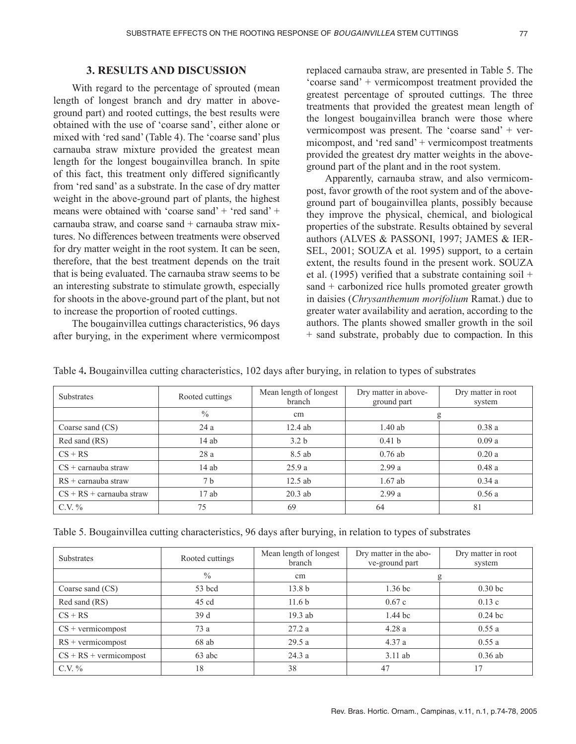### **3. RESULTS AND DISCUSSION**

With regard to the percentage of sprouted (mean length of longest branch and dry matter in aboveground part) and rooted cuttings, the best results were obtained with the use of 'coarse sand', either alone or mixed with 'red sand' (Table 4). The 'coarse sand' plus carnauba straw mixture provided the greatest mean length for the longest bougainvillea branch. In spite of this fact, this treatment only differed significantly from 'red sand' as a substrate. In the case of dry matter weight in the above-ground part of plants, the highest means were obtained with 'coarse sand' + 'red sand' + carnauba straw, and coarse sand  $+$  carnauba straw mixtures. No differences between treatments were observed for dry matter weight in the root system. It can be seen, therefore, that the best treatment depends on the trait that is being evaluated. The carnauba straw seems to be an interesting substrate to stimulate growth, especially for shoots in the above-ground part of the plant, but not to increase the proportion of rooted cuttings.

The bougainvillea cuttings characteristics, 96 days after burying, in the experiment where vermicompost replaced carnauba straw, are presented in Table 5. The 'coarse sand' + vermicompost treatment provided the greatest percentage of sprouted cuttings. The three treatments that provided the greatest mean length of the longest bougainvillea branch were those where vermicompost was present. The 'coarse sand' + vermicompost, and 'red sand' + vermicompost treatments provided the greatest dry matter weights in the aboveground part of the plant and in the root system.

Apparently, carnauba straw, and also vermicompost, favor growth of the root system and of the aboveground part of bougainvillea plants, possibly because they improve the physical, chemical, and biological properties of the substrate. Results obtained by several authors (ALVES & PASSONI, 1997; JAMES & IER-SEL, 2001; SOUZA et al. 1995) support, to a certain extent, the results found in the present work. SOUZA et al. (1995) verified that a substrate containing soil + sand + carbonized rice hulls promoted greater growth in daisies (*Chrysanthemum morifolium* Ramat.) due to greater water availability and aeration, according to the authors. The plants showed smaller growth in the soil + sand substrate, probably due to compaction. In this

|  |  |  |  | Table 4. Bougainvillea cutting characteristics, 102 days after burying, in relation to types of substrates |
|--|--|--|--|------------------------------------------------------------------------------------------------------------|
|  |  |  |  |                                                                                                            |

| Substrates                 | Rooted cuttings | Mean length of longest<br>branch | Dry matter in above-<br>ground part | Dry matter in root<br>system |
|----------------------------|-----------------|----------------------------------|-------------------------------------|------------------------------|
|                            | $\frac{0}{0}$   | cm                               |                                     | g                            |
| Coarse sand $(CS)$         | 24a             | 12.4ab                           | $1.40$ ab                           | 0.38a                        |
| Red sand (RS)              | 14ab            | 3.2 <sub>b</sub>                 | 0.41 <sub>b</sub>                   | 0.09a                        |
| $CS + RS$                  | 28a             | 8.5 ab                           | $0.76$ ab                           | 0.20a                        |
| $CS +$ carnauba straw      | $14$ ab         | 25.9a                            | 2.99a                               | 0.48a                        |
| $RS +$ carnauba straw      | 7 b             | $12.5$ ab                        | $1.67$ ab                           | 0.34a                        |
| $CS + RS +$ carnauba straw | 17ab            | $20.3$ ab                        | 2.99a                               | 0.56a                        |
| $C.V. \%$                  | 75              | 69                               | 64                                  | 81                           |

Table 5. Bougainvillea cutting characteristics, 96 days after burying, in relation to types of substrates

| Substrates               | Rooted cuttings | Mean length of longest<br>branch | Dry matter in the abo-<br>ve-ground part | Dry matter in root<br>system |
|--------------------------|-----------------|----------------------------------|------------------------------------------|------------------------------|
|                          | $\frac{0}{0}$   | cm                               |                                          | g                            |
| Coarse sand (CS)         | 53 bcd          | 13.8 <sub>b</sub>                | 1.36 bc                                  | 0.30 <sub>bc</sub>           |
| Red sand (RS)            | 45 cd           | 11.6 <sub>b</sub>                | 0.67c                                    | 0.13c                        |
| $CS + RS$                | 39 d            | $19.3$ ab                        | $1.44$ bc                                | $0.24$ bc                    |
| $CS + vermicompost$      | 73 a            | 27.2a                            | 4.28a                                    | 0.55a                        |
| $RS + vermicompost$      | 68ab            | 29.5a                            | 4.37a                                    | 0.55a                        |
| $CS + RS + vermicompost$ | 63 abc          | 24.3a                            | $3.11$ ab                                | $0.36$ ab                    |
| C.V. $%$                 | 18              | 38                               | 47                                       | 17                           |